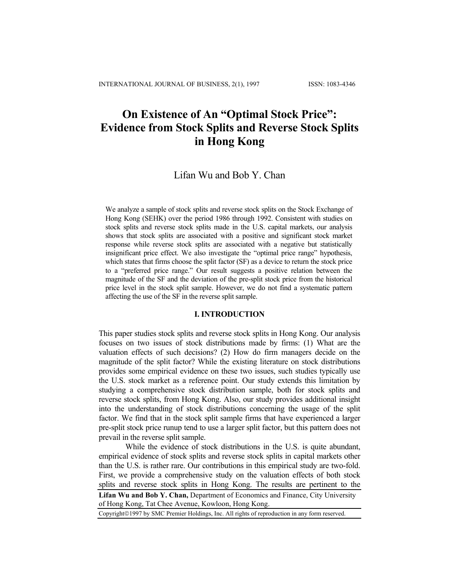# **On Existence of An "Optimal Stock Price": Evidence from Stock Splits and Reverse Stock Splits in Hong Kong**

# Lifan Wu and Bob Y. Chan

We analyze a sample of stock splits and reverse stock splits on the Stock Exchange of Hong Kong (SEHK) over the period 1986 through 1992. Consistent with studies on stock splits and reverse stock splits made in the U.S. capital markets, our analysis shows that stock splits are associated with a positive and significant stock market response while reverse stock splits are associated with a negative but statistically insignificant price effect. We also investigate the "optimal price range" hypothesis, which states that firms choose the split factor (SF) as a device to return the stock price to a "preferred price range." Our result suggests a positive relation between the magnitude of the SF and the deviation of the pre-split stock price from the historical price level in the stock split sample. However, we do not find a systematic pattern affecting the use of the SF in the reverse split sample.

# **I. INTRODUCTION**

This paper studies stock splits and reverse stock splits in Hong Kong. Our analysis focuses on two issues of stock distributions made by firms: (1) What are the valuation effects of such decisions? (2) How do firm managers decide on the magnitude of the split factor? While the existing literature on stock distributions provides some empirical evidence on these two issues, such studies typically use the U.S. stock market as a reference point. Our study extends this limitation by studying a comprehensive stock distribution sample, both for stock splits and reverse stock splits, from Hong Kong. Also, our study provides additional insight into the understanding of stock distributions concerning the usage of the split factor. We find that in the stock split sample firms that have experienced a larger pre-split stock price runup tend to use a larger split factor, but this pattern does not prevail in the reverse split sample.

**Lifan Wu and Bob Y. Chan,** Department of Economics and Finance, City University of Hong Kong, Tat Chee Avenue, Kowloon, Hong Kong. While the evidence of stock distributions in the U.S. is quite abundant, empirical evidence of stock splits and reverse stock splits in capital markets other than the U.S. is rather rare. Our contributions in this empirical study are two-fold. First, we provide a comprehensive study on the valuation effects of both stock splits and reverse stock splits in Hong Kong. The results are pertinent to the

Copyright©1997 by SMC Premier Holdings, Inc. All rights of reproduction in any form reserved.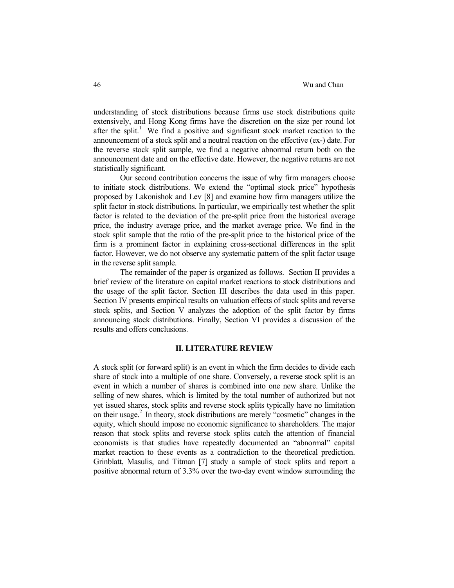understanding of stock distributions because firms use stock distributions quite extensively, and Hong Kong firms have the discretion on the size per round lot after the split.<sup>1</sup> We find a positive and significant stock market reaction to the announcement of a stock split and a neutral reaction on the effective (ex-) date. For the reverse stock split sample, we find a negative abnormal return both on the announcement date and on the effective date. However, the negative returns are not statistically significant.

 Our second contribution concerns the issue of why firm managers choose to initiate stock distributions. We extend the "optimal stock price" hypothesis proposed by Lakonishok and Lev [8] and examine how firm managers utilize the split factor in stock distributions. In particular, we empirically test whether the split factor is related to the deviation of the pre-split price from the historical average price, the industry average price, and the market average price. We find in the stock split sample that the ratio of the pre-split price to the historical price of the firm is a prominent factor in explaining cross-sectional differences in the split factor. However, we do not observe any systematic pattern of the split factor usage in the reverse split sample.

 The remainder of the paper is organized as follows. Section II provides a brief review of the literature on capital market reactions to stock distributions and the usage of the split factor. Section III describes the data used in this paper. Section IV presents empirical results on valuation effects of stock splits and reverse stock splits, and Section V analyzes the adoption of the split factor by firms announcing stock distributions. Finally, Section VI provides a discussion of the results and offers conclusions.

## **II. LITERATURE REVIEW**

A stock split (or forward split) is an event in which the firm decides to divide each share of stock into a multiple of one share. Conversely, a reverse stock split is an event in which a number of shares is combined into one new share. Unlike the selling of new shares, which is limited by the total number of authorized but not yet issued shares, stock splits and reverse stock splits typically have no limitation on their usage.2 In theory, stock distributions are merely "cosmetic" changes in the equity, which should impose no economic significance to shareholders. The major reason that stock splits and reverse stock splits catch the attention of financial economists is that studies have repeatedly documented an "abnormal" capital market reaction to these events as a contradiction to the theoretical prediction. Grinblatt, Masulis, and Titman [7] study a sample of stock splits and report a positive abnormal return of 3.3% over the two-day event window surrounding the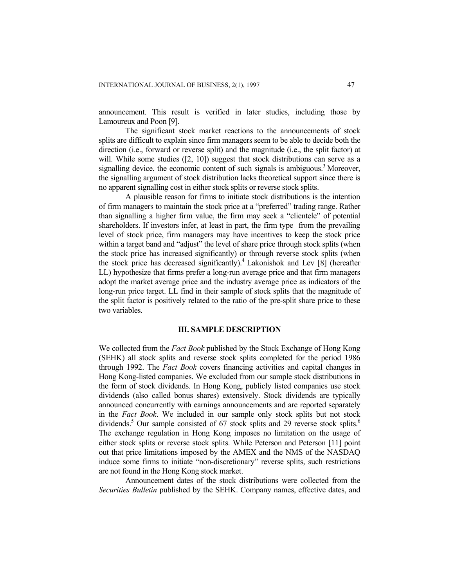announcement. This result is verified in later studies, including those by Lamoureux and Poon [9].

 The significant stock market reactions to the announcements of stock splits are difficult to explain since firm managers seem to be able to decide both the direction (i.e., forward or reverse split) and the magnitude (i.e., the split factor) at will. While some studies ([2, 10]) suggest that stock distributions can serve as a signalling device, the economic content of such signals is ambiguous.<sup>3</sup> Moreover, the signalling argument of stock distribution lacks theoretical support since there is no apparent signalling cost in either stock splits or reverse stock splits.

 A plausible reason for firms to initiate stock distributions is the intention of firm managers to maintain the stock price at a "preferred" trading range. Rather than signalling a higher firm value, the firm may seek a "clientele" of potential shareholders. If investors infer, at least in part, the firm type from the prevailing level of stock price, firm managers may have incentives to keep the stock price within a target band and "adjust" the level of share price through stock splits (when the stock price has increased significantly) or through reverse stock splits (when the stock price has decreased significantly).<sup>4</sup> Lakonishok and Lev  $[8]$  (hereafter LL) hypothesize that firms prefer a long-run average price and that firm managers adopt the market average price and the industry average price as indicators of the long-run price target. LL find in their sample of stock splits that the magnitude of the split factor is positively related to the ratio of the pre-split share price to these two variables.

## **III. SAMPLE DESCRIPTION**

We collected from the *Fact Book* published by the Stock Exchange of Hong Kong (SEHK) all stock splits and reverse stock splits completed for the period 1986 through 1992. The *Fact Book* covers financing activities and capital changes in Hong Kong-listed companies. We excluded from our sample stock distributions in the form of stock dividends. In Hong Kong, publicly listed companies use stock dividends (also called bonus shares) extensively. Stock dividends are typically announced concurrently with earnings announcements and are reported separately in the *Fact Book*. We included in our sample only stock splits but not stock dividends.<sup>5</sup> Our sample consisted of 67 stock splits and 29 reverse stock splits.<sup>6</sup> The exchange regulation in Hong Kong imposes no limitation on the usage of either stock splits or reverse stock splits. While Peterson and Peterson [11] point out that price limitations imposed by the AMEX and the NMS of the NASDAQ induce some firms to initiate "non-discretionary" reverse splits, such restrictions are not found in the Hong Kong stock market.

 Announcement dates of the stock distributions were collected from the *Securities Bulletin* published by the SEHK. Company names, effective dates, and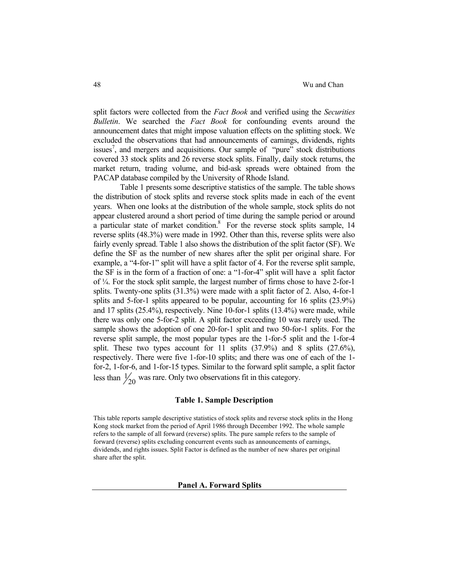split factors were collected from the *Fact Book* and verified using the *Securities Bulletin*. We searched the *Fact Book* for confounding events around the announcement dates that might impose valuation effects on the splitting stock. We excluded the observations that had announcements of earnings, dividends, rights issues<sup>7</sup>, and mergers and acquisitions. Our sample of "pure" stock distributions covered 33 stock splits and 26 reverse stock splits. Finally, daily stock returns, the market return, trading volume, and bid-ask spreads were obtained from the PACAP database compiled by the University of Rhode Island.

Table 1 presents some descriptive statistics of the sample. The table shows the distribution of stock splits and reverse stock splits made in each of the event years. When one looks at the distribution of the whole sample, stock splits do not appear clustered around a short period of time during the sample period or around a particular state of market condition. $8$  For the reverse stock splits sample, 14 reverse splits (48.3%) were made in 1992. Other than this, reverse splits were also fairly evenly spread. Table 1 also shows the distribution of the split factor (SF). We define the SF as the number of new shares after the split per original share. For example, a "4-for-1" split will have a split factor of 4. For the reverse split sample, the SF is in the form of a fraction of one: a "1-for-4" split will have a split factor of ¼. For the stock split sample, the largest number of firms chose to have 2-for-1 splits. Twenty-one splits (31.3%) were made with a split factor of 2. Also, 4-for-1 splits and 5-for-1 splits appeared to be popular, accounting for 16 splits (23.9%) and 17 splits (25.4%), respectively. Nine 10-for-1 splits (13.4%) were made, while there was only one 5-for-2 split. A split factor exceeding 10 was rarely used. The sample shows the adoption of one 20-for-1 split and two 50-for-1 splits. For the reverse split sample, the most popular types are the 1-for-5 split and the 1-for-4 split. These two types account for 11 splits  $(37.9\%)$  and 8 splits  $(27.6\%)$ , respectively. There were five 1-for-10 splits; and there was one of each of the 1 for-2, 1-for-6, and 1-for-15 types. Similar to the forward split sample, a split factor less than  $\frac{1}{20}$  was rare. Only two observations fit in this category.

# **Table 1. Sample Description**

This table reports sample descriptive statistics of stock splits and reverse stock splits in the Hong Kong stock market from the period of April 1986 through December 1992. The whole sample refers to the sample of all forward (reverse) splits. The pure sample refers to the sample of forward (reverse) splits excluding concurrent events such as announcements of earnings, dividends, and rights issues. Split Factor is defined as the number of new shares per original share after the split.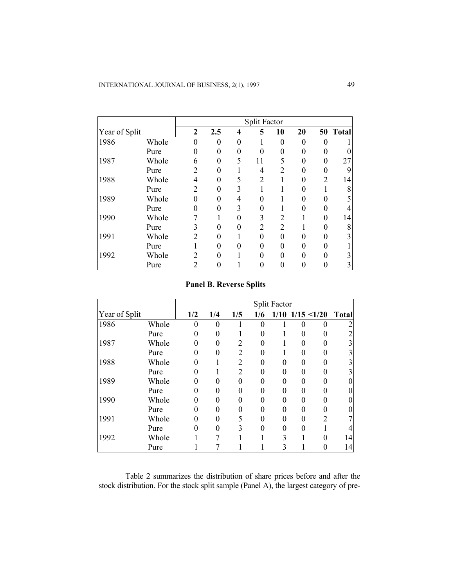|               |       |                |          |   | <b>Split Factor</b> |          |          |   |          |
|---------------|-------|----------------|----------|---|---------------------|----------|----------|---|----------|
| Year of Split |       | $\mathbf{2}$   | 2.5      | 4 | 5                   | 10       | 20       |   | 50 Total |
| 1986          | Whole | $\theta$       | $\Omega$ | 0 |                     | $\theta$ | $\theta$ | 0 |          |
|               | Pure  | 0              | 0        | 0 | 0                   | 0        | 0        | 0 |          |
| 1987          | Whole | 6              | 0        | 5 | 11                  | 5        | 0        | 0 | 27       |
|               | Pure  | 2              | 0        |   | 4                   | 2        | 0        |   | 9        |
| 1988          | Whole | 4              | 0        |   | $\overline{2}$      |          | 0        | 2 | 14       |
|               | Pure  | 2              | 0        | 3 |                     |          | 0        |   | 8        |
| 1989          | Whole | $\Omega$       | 0        | 4 | 0                   |          | 0        |   |          |
|               | Pure  | 0              | 0        | 3 | 0                   |          | 0        |   |          |
| 1990          | Whole |                |          | 0 | 3                   | 2        |          |   | 14       |
|               | Pure  | 3              | 0        | ∩ | 2                   | 2        |          |   | 8        |
| 1991          | Whole | 2              |          |   | 0                   | 0        | 0        |   |          |
|               | Pure  |                |          |   | 0                   | 0        | 0        |   |          |
| 1992          | Whole | $\overline{c}$ | 0        |   | 0                   | 0        | 0        |   |          |
|               | Pure  | 2              |          |   |                     |          |          |   |          |

# **Panel B. Reverse Splits**

|               |       |          |          |                |          | <b>Split Factor</b> |   |                |              |
|---------------|-------|----------|----------|----------------|----------|---------------------|---|----------------|--------------|
| Year of Split |       |          | 1/4      | 1/5            | 1/6      | 1/10                |   | 1/15 < 1/20    | <b>Total</b> |
| 1986          | Whole | $\theta$ | $\Omega$ |                | $\theta$ |                     | 0 | 0              |              |
|               | Pure  | $\Omega$ |          |                | 0        |                     | 0 |                |              |
| 1987          | Whole | 0        | 0        | 2              | 0        |                     | 0 |                |              |
|               | Pure  | 0        |          | $\overline{2}$ | 0        |                     | 0 |                |              |
| 1988          | Whole | 0        |          | 2              | 0        | 0                   | 0 |                |              |
|               | Pure  | 0        |          | 2              | 0        | $\theta$            | 0 |                |              |
| 1989          | Whole | 0        |          | 0              | 0        | $\theta$            | 0 |                |              |
|               | Pure  | 0        |          |                | 0        | 0                   | 0 |                |              |
| 1990          | Whole | 0        |          | 0              | 0        | $\theta$            | 0 |                |              |
|               | Pure  | 0        |          |                | 0        | $\theta$            | 0 |                |              |
| 1991          | Whole | 0        |          | 5              | 0        | $\theta$            | 0 | $\overline{2}$ |              |
|               | Pure  | 0        |          | $\mathcal{E}$  |          | $\theta$            | 0 |                |              |
| 1992          | Whole |          |          |                |          | 3                   |   |                | 14           |
|               | Pure  |          |          |                |          | 3                   |   |                | 14           |

 Table 2 summarizes the distribution of share prices before and after the stock distribution. For the stock split sample (Panel A), the largest category of pre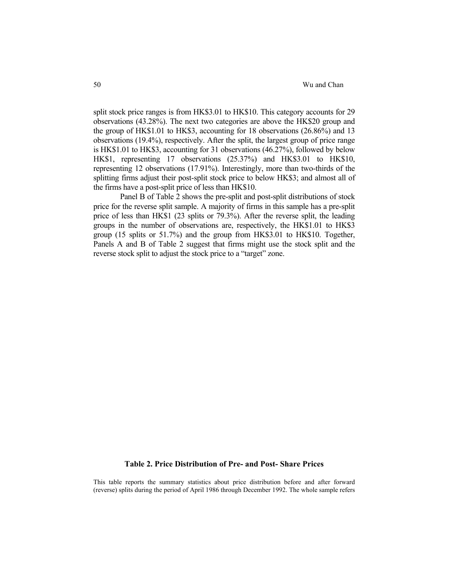split stock price ranges is from HK\$3.01 to HK\$10. This category accounts for 29 observations (43.28%). The next two categories are above the HK\$20 group and the group of HK\$1.01 to HK\$3, accounting for 18 observations (26.86%) and 13 observations (19.4%), respectively. After the split, the largest group of price range is HK\$1.01 to HK\$3, accounting for 31 observations (46.27%), followed by below HK\$1, representing 17 observations (25.37%) and HK\$3.01 to HK\$10, representing 12 observations (17.91%). Interestingly, more than two-thirds of the splitting firms adjust their post-split stock price to below HK\$3; and almost all of the firms have a post-split price of less than HK\$10.

 Panel B of Table 2 shows the pre-split and post-split distributions of stock price for the reverse split sample. A majority of firms in this sample has a pre-split price of less than HK\$1 (23 splits or 79.3%). After the reverse split, the leading groups in the number of observations are, respectively, the HK\$1.01 to HK\$3 group (15 splits or 51.7%) and the group from HK\$3.01 to HK\$10. Together, Panels A and B of Table 2 suggest that firms might use the stock split and the reverse stock split to adjust the stock price to a "target" zone.

# **Table 2. Price Distribution of Pre- and Post- Share Prices**

This table reports the summary statistics about price distribution before and after forward (reverse) splits during the period of April 1986 through December 1992. The whole sample refers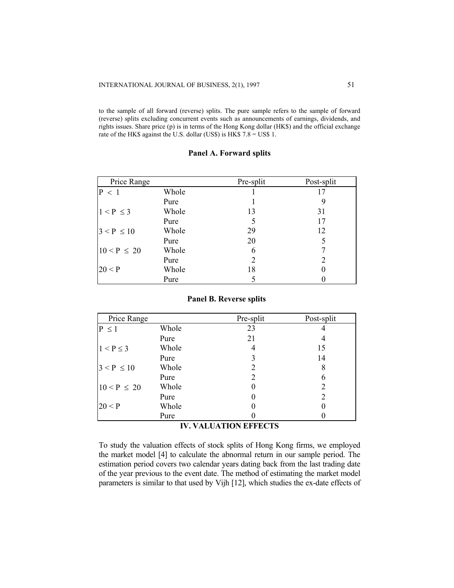to the sample of all forward (reverse) splits. The pure sample refers to the sample of forward (reverse) splits excluding concurrent events such as announcements of earnings, dividends, and rights issues. Share price (p) is in terms of the Hong Kong dollar (HK\$) and the official exchange rate of the HK\$ against the U.S. dollar (US\$) is HK\$  $7.8 =$  US\$ 1.

# **Panel A. Forward splits**

| Price Range     |       | Pre-split | Post-split |
|-----------------|-------|-----------|------------|
| P < 1           | Whole |           |            |
|                 | Pure  |           | 9          |
| $1 < P \leq 3$  | Whole | 13        | 31         |
|                 | Pure  | 5         | 17         |
| $3 < P \le 10$  | Whole | 29        | 12         |
|                 | Pure  | 20        | 5          |
| $10 < P \le 20$ | Whole | 6         |            |
|                 | Pure  | 2         | 2          |
| 20 < P          | Whole | 18        | 0          |
|                 | Pure  |           |            |

# **Panel B. Reverse splits**

| Price Range     |       | Pre-split | Post-split    |
|-----------------|-------|-----------|---------------|
| $P \leq 1$      | Whole | 23        | 4             |
|                 | Pure  | 21        | 4             |
| $1 < P \leq 3$  | Whole | 4         | 15            |
|                 | Pure  | 3         | 14            |
| $3 < P \le 10$  | Whole | 2         | 8             |
|                 | Pure  | 2         | 6             |
| $10 < P \le 20$ | Whole |           | 2             |
|                 | Pure  |           | $\mathcal{D}$ |
| 20 < P          | Whole |           | $\mathbf{0}$  |
|                 | Pure  |           |               |

# **IV. VALUATION EFFECTS**

To study the valuation effects of stock splits of Hong Kong firms, we employed the market model [4] to calculate the abnormal return in our sample period. The estimation period covers two calendar years dating back from the last trading date of the year previous to the event date. The method of estimating the market model parameters is similar to that used by Vijh [12], which studies the ex-date effects of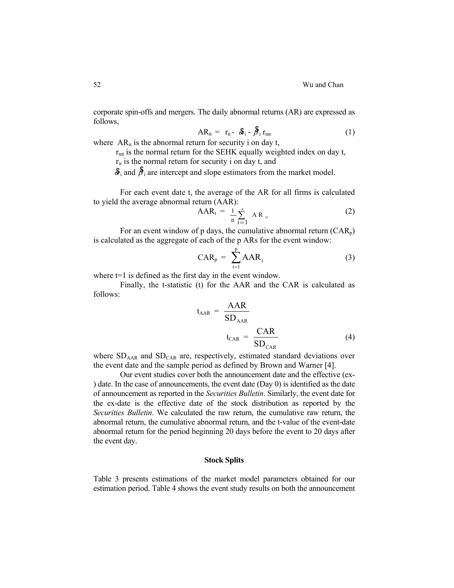corporate spin-offs and mergers. The daily abnormal returns (AR) are expressed as follows,

$$
AR_{it} = r_{it} - \mathcal{S}_i - \mathcal{F}_i r_{mt}
$$
 (1)

where  $AR_{it}$  is the abnormal return for security i on day t,

 $r<sub>mt</sub>$  is the normal return for the SEHK equally weighted index on day t,

 $r_{ir}$  is the normal return for security i on day t, and

 $\hat{\mathbf{\mathcal{S}}}_i$  and  $\hat{\mathbf{\mathcal{S}}}_i$  are intercept and slope estimators from the market model.

For each event date t, the average of the AR for all firms is calculated to yield the average abnormal return (AAR):

$$
AAR_t = \frac{1}{n} \sum_{i=1}^{n} AR_{it}
$$
 (2)

For an event window of p days, the cumulative abnormal return  $(CAR_n)$ is calculated as the aggregate of each of the p ARs for the event window:

$$
CAR_{p} = \sum_{t=1}^{p} AAR_{t}
$$
 (3)

where  $t=1$  is defined as the first day in the event window.

Finally, the t-statistic (t) for the AAR and the CAR is calculated as follows:

$$
t_{AAR} = \frac{AAR}{SD_{AAR}}
$$

$$
t_{CAR} = \frac{CAR}{SD_{CAR}}
$$
(4)

where  $SD<sub>AAR</sub>$  and  $SD<sub>CAR</sub>$  are, respectively, estimated standard deviations over the event date and the sample period as defined by Brown and Warner [4].

Our event studies cover both the announcement date and the effective (ex- ) date. In the case of announcements, the event date (Day 0) is identified as the date of announcement as reported in the *Securities Bulletin*. Similarly, the event date for the ex-date is the effective date of the stock distribution as reported by the *Securities Bulletin*. We calculated the raw return, the cumulative raw return, the abnormal return, the cumulative abnormal return, and the t-value of the event-date abnormal return for the period beginning 20 days before the event to 20 days after the event day.

# **Stock Splits**

Table 3 presents estimations of the market model parameters obtained for our estimation period. Table 4 shows the event study results on both the announcement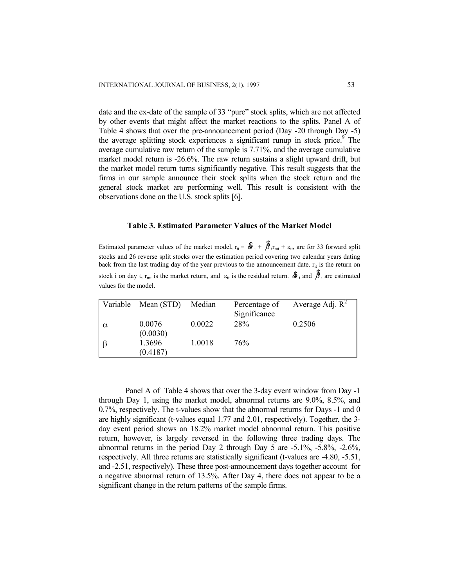date and the ex-date of the sample of 33 "pure" stock splits, which are not affected by other events that might affect the market reactions to the splits. Panel A of Table 4 shows that over the pre-announcement period (Day -20 through Day -5) the average splitting stock experiences a significant runup in stock price.<sup>9</sup> The average cumulative raw return of the sample is 7.71%, and the average cumulative market model return is -26.6%. The raw return sustains a slight upward drift, but the market model return turns significantly negative. This result suggests that the firms in our sample announce their stock splits when the stock return and the general stock market are performing well. This result is consistent with the observations done on the U.S. stock splits [6].

#### **Table 3. Estimated Parameter Values of the Market Model**

Estimated parameter values of the market model,  $r_{it} = \mathcal{F}_{i} + \mathcal{F}_{i}$  i<sub>rmt</sub> +  $\varepsilon_{it}$ , are for 33 forward split stocks and 26 reverse split stocks over the estimation period covering two calendar years dating back from the last trading day of the year previous to the announcement date.  $r_{it}$  is the return on stock i on day t,  $r_{mt}$  is the market return, and  $\varepsilon_{it}$  is the residual return.  $\delta_i$  and  $\delta_j$  are estimated values for the model.

| Variable | Mean (STD)         | Median | Percentage of<br>Significance | Average Adj. $R^2$ |
|----------|--------------------|--------|-------------------------------|--------------------|
| α        | 0.0076<br>(0.0030) | 0.0022 | 28%                           | 0.2506             |
|          | 1.3696<br>(0.4187) | 1.0018 | 76%                           |                    |

Panel A of Table 4 shows that over the 3-day event window from Day -1 through Day 1, using the market model, abnormal returns are 9.0%, 8.5%, and 0.7%, respectively. The t-values show that the abnormal returns for Days -1 and 0 are highly significant (t-values equal 1.77 and 2.01, respectively). Together, the 3 day event period shows an 18.2% market model abnormal return. This positive return, however, is largely reversed in the following three trading days. The abnormal returns in the period Day 2 through Day 5 are -5.1%, -5.8%, -2.6%, respectively. All three returns are statistically significant (t-values are -4.80, -5.51, and -2.51, respectively). These three post-announcement days together account for a negative abnormal return of 13.5%. After Day 4, there does not appear to be a significant change in the return patterns of the sample firms.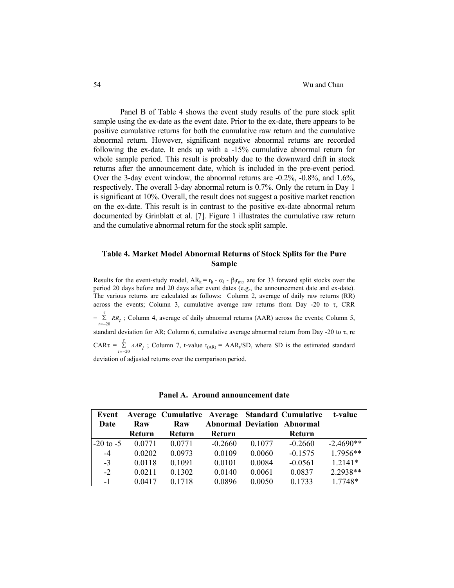Panel B of Table 4 shows the event study results of the pure stock split sample using the ex-date as the event date. Prior to the ex-date, there appears to be positive cumulative returns for both the cumulative raw return and the cumulative abnormal return. However, significant negative abnormal returns are recorded following the ex-date. It ends up with a -15% cumulative abnormal return for whole sample period. This result is probably due to the downward drift in stock returns after the announcement date, which is included in the pre-event period. Over the 3-day event window, the abnormal returns are -0.2%, -0.8%, and 1.6%, respectively. The overall 3-day abnormal return is 0.7%. Only the return in Day 1 is significant at 10%. Overall, the result does not suggest a positive market reaction on the ex-date. This result is in contrast to the positive ex-date abnormal return documented by Grinblatt et al. [7]. Figure 1 illustrates the cumulative raw return and the cumulative abnormal return for the stock split sample.

# **Table 4. Market Model Abnormal Returns of Stock Splits for the Pure Sample**

Results for the event-study model,  $AR_{it} = r_{it} - \alpha_i - \beta_i r_{mt}$ , are for 33 forward split stocks over the period 20 days before and 20 days after event dates (e.g., the announcement date and ex-date). The various returns are calculated as follows: Column 2, average of daily raw returns (RR) across the events; Column 3, cumulative average raw returns from Day -20 to  $\tau$ , CRR  $=\sum_{t=-20} R_{t}$ ; Column 4, average of daily abnormal returns (AAR) across the events; Column 5, standard deviation for AR; Column 6, cumulative average abnormal return from Day -20 to τ, re CAR $\tau = \sum_{t=-20}^{5}$  *AAR<sub>t</sub>*; Column 7, t-value t<sub>(AR)</sub> = AAR<sub>t</sub>/SD, where SD is the estimated standard τ deviation of adjusted returns over the comparison period.

| Event         |               | Average Cumulative Average Standard Cumulative |           |        |                                    | t-value     |
|---------------|---------------|------------------------------------------------|-----------|--------|------------------------------------|-------------|
| Date          | Raw           | Raw                                            |           |        | <b>Abnormal Deviation Abnormal</b> |             |
|               | <b>Return</b> | Return                                         | Return    |        | Return                             |             |
| $-20$ to $-5$ | 0.0771        | 0.0771                                         | $-0.2660$ | 0.1077 | $-0.2660$                          | $-2.4690**$ |
| $-4$          | 0.0202        | 0.0973                                         | 0.0109    | 0.0060 | $-0.1575$                          | $1.7956**$  |
| $-3$          | 0.0118        | 0.1091                                         | 0.0101    | 0.0084 | $-0.0561$                          | $1.2141*$   |
| $-2$          | 0.0211        | 0.1302                                         | 0.0140    | 0.0061 | 0.0837                             | 2.2938**    |
| $-1$          | 0.0417        | 0.1718                                         | 0.0896    | 0.0050 | 0.1733                             | 1.7748*     |

**Panel A. Around announcement date**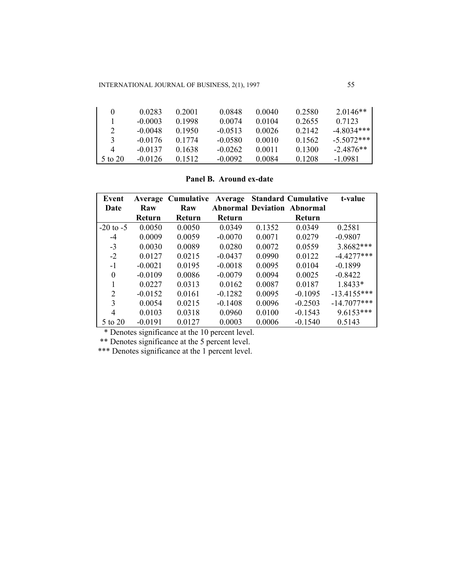INTERNATIONAL JOURNAL OF BUSINESS, 2(1), 1997 55

| 0             | 0.0283    | 0.2001 | 0.0848    | 0.0040 | 0.2580    | $2.0146**$   |
|---------------|-----------|--------|-----------|--------|-----------|--------------|
|               | $-0.0003$ | 0.1998 | 0.0074    | 0.0104 | 0.2655    | 0.7123       |
| 2             | $-0.0048$ | 0.1950 | $-0.0513$ | 0.0026 | 0 2 1 4 2 | $-48034***$  |
| $\mathcal{F}$ | $-0.0176$ | 0.1774 | $-0.0580$ | 0.0010 | 0.1562    | $-5.5072***$ |
| 4             | $-0.0137$ | 0.1638 | $-0.0262$ | 0.0011 | 0.1300    | $-2.4876**$  |
| 5 to 20       | $-0.0126$ | 0.1512 | $-0.0092$ | 0.0084 | 0.1208    | -1 0981      |

**Panel B. Around ex-date** 

| Event          |           | <b>Average Cumulative</b> |           |        | <b>Average Standard Cumulative</b> | t-value       |
|----------------|-----------|---------------------------|-----------|--------|------------------------------------|---------------|
| Date           | Raw       | Raw                       |           |        | <b>Abnormal Deviation Abnormal</b> |               |
|                | Return    | Return                    | Return    |        | Return                             |               |
| $-20$ to $-5$  | 0.0050    | 0.0050                    | 0.0349    | 0.1352 | 0.0349                             | 0.2581        |
| $-4$           | 0.0009    | 0.0059                    | $-0.0070$ | 0.0071 | 0.0279                             | $-0.9807$     |
| $-3$           | 0.0030    | 0.0089                    | 0.0280    | 0.0072 | 0.0559                             | 3.8682***     |
| $-2$           | 0.0127    | 0.0215                    | $-0.0437$ | 0.0990 | 0.0122                             | $-4.4277***$  |
| $-1$           | $-0.0021$ | 0.0195                    | $-0.0018$ | 0.0095 | 0.0104                             | $-0.1899$     |
| 0              | $-0.0109$ | 0.0086                    | $-0.0079$ | 0.0094 | 0.0025                             | $-0.8422$     |
| 1              | 0.0227    | 0.0313                    | 0.0162    | 0.0087 | 0.0187                             | 1.8433*       |
| $\overline{2}$ | $-0.0152$ | 0.0161                    | $-0.1282$ | 0.0095 | $-0.1095$                          | $-13.4155***$ |
| 3              | 0.0054    | 0.0215                    | $-0.1408$ | 0.0096 | $-0.2503$                          | $-14.7077***$ |
| 4              | 0.0103    | 0.0318                    | 0.0960    | 0.0100 | $-0.1543$                          | 9.6153***     |
| 5 to 20        | $-0.0191$ | 0.0127                    | 0.0003    | 0.0006 | $-0.1540$                          | 0.5143        |

\* Denotes significance at the 10 percent level.

\*\* Denotes significance at the 5 percent level.

\*\*\* Denotes significance at the 1 percent level.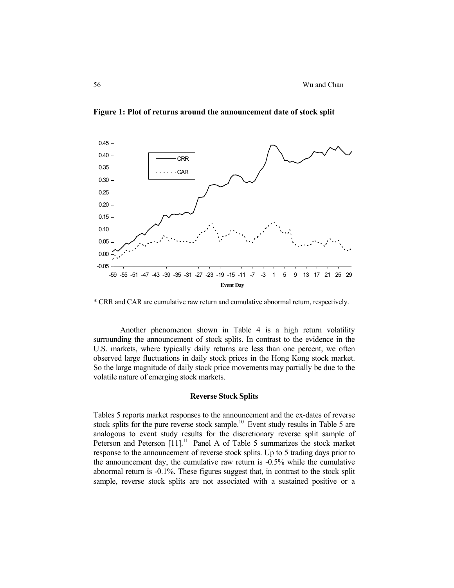

**Figure 1: Plot of returns around the announcement date of stock split** 

\* CRR and CAR are cumulative raw return and cumulative abnormal return, respectively.

Another phenomenon shown in Table 4 is a high return volatility surrounding the announcement of stock splits. In contrast to the evidence in the U.S. markets, where typically daily returns are less than one percent, we often observed large fluctuations in daily stock prices in the Hong Kong stock market. So the large magnitude of daily stock price movements may partially be due to the volatile nature of emerging stock markets.

#### **Reverse Stock Splits**

Tables 5 reports market responses to the announcement and the ex-dates of reverse stock splits for the pure reverse stock sample.<sup>10</sup> Event study results in Table 5 are analogous to event study results for the discretionary reverse split sample of Peterson and Peterson [11].<sup>11</sup> Panel A of Table 5 summarizes the stock market response to the announcement of reverse stock splits. Up to 5 trading days prior to the announcement day, the cumulative raw return is -0.5% while the cumulative abnormal return is -0.1%. These figures suggest that, in contrast to the stock split sample, reverse stock splits are not associated with a sustained positive or a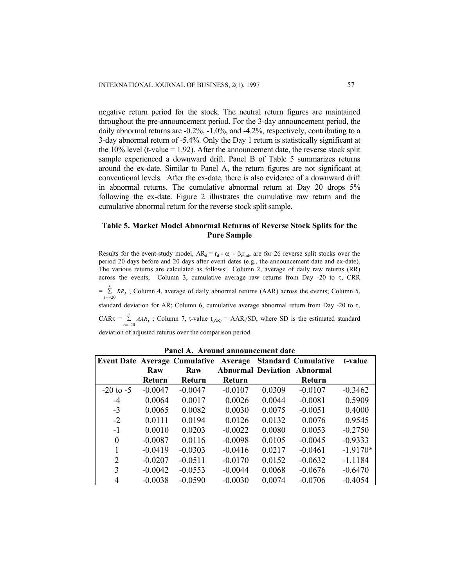negative return period for the stock. The neutral return figures are maintained throughout the pre-announcement period. For the 3-day announcement period, the daily abnormal returns are -0.2%, -1.0%, and -4.2%, respectively, contributing to a 3-day abnormal return of -5.4%. Only the Day 1 return is statistically significant at the  $10\%$  level (t-value = 1.92). After the announcement date, the reverse stock split sample experienced a downward drift. Panel B of Table 5 summarizes returns around the ex-date. Similar to Panel A, the return figures are not significant at conventional levels. After the ex-date, there is also evidence of a downward drift in abnormal returns. The cumulative abnormal return at Day 20 drops 5% following the ex-date. Figure 2 illustrates the cumulative raw return and the cumulative abnormal return for the reverse stock split sample.

# **Table 5. Market Model Abnormal Returns of Reverse Stock Splits for the Pure Sample**

Results for the event-study model,  $AR_{it} = r_{it} - \alpha_i - \beta_i r_{mt}$ , are for 26 reverse split stocks over the period 20 days before and 20 days after event dates (e.g., the announcement date and ex-date). The various returns are calculated as follows: Column 2, average of daily raw returns (RR) across the events; Column 3, cumulative average raw returns from Day -20 to τ, CRR  $=\sum_{t=-20} R_{t}$ ; Column 4, average of daily abnormal returns (AAR) across the events; Column 5, standard deviation for AR; Column 6, cumulative average abnormal return from Day -20 to τ, CAR $\tau = \sum_{t=-20}^{5}$  *AAR<sub>t</sub>*; Column 7, t-value t<sub>(AR)</sub> = AAR<sub>t</sub>/SD, where SD is the estimated standard τ

deviation of adjusted returns over the comparison period.

|               |               | <b>Event Date Average Cumulative Average</b> |           |        | <b>Standard Cumulative</b>         | t-value    |
|---------------|---------------|----------------------------------------------|-----------|--------|------------------------------------|------------|
|               | Raw           | Raw                                          |           |        | <b>Abnormal Deviation Abnormal</b> |            |
|               | <b>Return</b> | Return                                       | Return    |        | <b>Return</b>                      |            |
| $-20$ to $-5$ | $-0.0047$     | $-0.0047$                                    | $-0.0107$ | 0.0309 | $-0.0107$                          | $-0.3462$  |
| $-4$          | 0.0064        | 0.0017                                       | 0.0026    | 0.0044 | $-0.0081$                          | 0.5909     |
| $-3$          | 0.0065        | 0.0082                                       | 0.0030    | 0.0075 | $-0.0051$                          | 0.4000     |
| $-2$          | 0.0111        | 0.0194                                       | 0.0126    | 0.0132 | 0.0076                             | 0.9545     |
| $-1$          | 0.0010        | 0.0203                                       | $-0.0022$ | 0.0080 | 0.0053                             | $-0.2750$  |
| $\Omega$      | $-0.0087$     | 0 0 1 1 6                                    | $-0.0098$ | 0.0105 | $-0.0045$                          | $-0.9333$  |
|               | $-0.0419$     | $-0.0303$                                    | $-0.0416$ | 0.0217 | $-0.0461$                          | $-1.9170*$ |
| 2             | $-0.0207$     | $-0.0511$                                    | $-0.0170$ | 0.0152 | $-0.0632$                          | $-1.1184$  |
| 3             | $-0.0042$     | $-0.0553$                                    | $-0.0044$ | 0.0068 | $-0.0676$                          | $-0.6470$  |
| 4             | $-0.0038$     | $-0.0590$                                    | $-0.0030$ | 0.0074 | $-0.0706$                          | $-0.4054$  |

**Panel A. Around announcement date**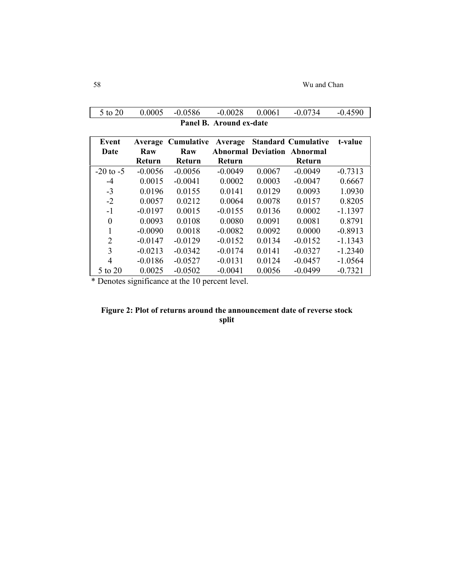|               | Panel B. Around ex-date  |                                    |                   |        |                                                                            |           |  |  |
|---------------|--------------------------|------------------------------------|-------------------|--------|----------------------------------------------------------------------------|-----------|--|--|
| Event<br>Date | Average<br>Raw<br>Return | <b>Cumulative</b><br>Raw<br>Return | Average<br>Return |        | <b>Standard Cumulative</b><br><b>Abnormal Deviation Abnormal</b><br>Return | t-value   |  |  |
| $-20$ to $-5$ | $-0.0056$                | $-0.0056$                          | $-0.0049$         | 0.0067 | $-0.0049$                                                                  | $-0.7313$ |  |  |
| $-4$          | 0.0015                   | $-0.0041$                          | 0.0002            | 0.0003 | $-0.0047$                                                                  | 0.6667    |  |  |
| $-3$          | 0.0196                   | 0.0155                             | 0.0141            | 0.0129 | 0.0093                                                                     | 1.0930    |  |  |
| $-2$          | 0.0057                   | 0.0212                             | 0.0064            | 0.0078 | 0.0157                                                                     | 0.8205    |  |  |
| $-1$          | $-0.0197$                | 0.0015                             | $-0.0155$         | 0.0136 | 0.0002                                                                     | $-1.1397$ |  |  |
| $\Omega$      | 0.0093                   | 0.0108                             | 0.0080            | 0.0091 | 0.0081                                                                     | 0.8791    |  |  |
|               | $-0.0090$                | 0.0018                             | $-0.0082$         | 0.0092 | 0.0000                                                                     | $-0.8913$ |  |  |
| 2             | $-0.0147$                | $-0.0129$                          | $-0.0152$         | 0.0134 | $-0.0152$                                                                  | $-1.1343$ |  |  |
| 3             | $-0.0213$                | $-0.0342$                          | $-0.0174$         | 0.0141 | $-0.0327$                                                                  | $-1.2340$ |  |  |
| 4             | $-0.0186$                | $-0.0527$                          | $-0.0131$         | 0.0124 | $-0.0457$                                                                  | $-1.0564$ |  |  |
| 5 to 20       | 0.0025                   | $-0.0502$                          | $-0.0041$         | 0.0056 | $-0.0499$                                                                  | $-0.7321$ |  |  |

5 to 20 0.0005 -0.0586 -0.0028 0.0061 -0.0734 -0.4590

\* Denotes significance at the 10 percent level.

# **Figure 2: Plot of returns around the announcement date of reverse stock split**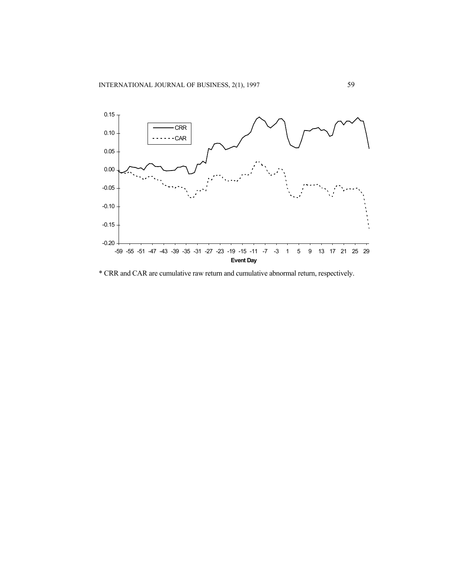

\* CRR and CAR are cumulative raw return and cumulative abnormal return, respectively.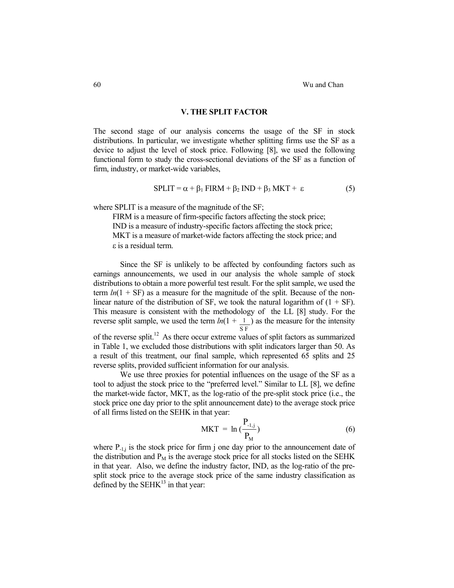#### **V. THE SPLIT FACTOR**

The second stage of our analysis concerns the usage of the SF in stock distributions. In particular, we investigate whether splitting firms use the SF as a device to adjust the level of stock price. Following [8], we used the following functional form to study the cross-sectional deviations of the SF as a function of firm, industry, or market-wide variables,

$$
SPLIT = \alpha + \beta_1 FIRM + \beta_2 IND + \beta_3 MKT + \varepsilon
$$
 (5)

where SPLIT is a measure of the magnitude of the SF;

 FIRM is a measure of firm-specific factors affecting the stock price; IND is a measure of industry-specific factors affecting the stock price; MKT is a measure of market-wide factors affecting the stock price; and ε is a residual term.

Since the SF is unlikely to be affected by confounding factors such as earnings announcements, we used in our analysis the whole sample of stock distributions to obtain a more powerful test result. For the split sample, we used the term  $ln(1 + SF)$  as a measure for the magnitude of the split. Because of the nonlinear nature of the distribution of SF, we took the natural logarithm of  $(1 + SF)$ . This measure is consistent with the methodology of the LL [8] study. For the reverse split sample, we used the term  $ln(1 + 1)$ S F ) as the measure for the intensity of the reverse split.12 As there occur extreme values of split factors as summarized in Table 1, we excluded those distributions with split indicators larger than 50. As a result of this treatment, our final sample, which represented 65 splits and 25

We use three proxies for potential influences on the usage of the SF as a tool to adjust the stock price to the "preferred level." Similar to LL [8], we define the market-wide factor, MKT, as the log-ratio of the pre-split stock price (i.e., the stock price one day prior to the split announcement date) to the average stock price of all firms listed on the SEHK in that year:

reverse splits, provided sufficient information for our analysis.

$$
MKT = \ln\left(\frac{P_{.1,j}}{P_M}\right) \tag{6}
$$

where  $P_{-1,j}$  is the stock price for firm j one day prior to the announcement date of the distribution and  $P_M$  is the average stock price for all stocks listed on the SEHK in that year. Also, we define the industry factor, IND, as the log-ratio of the presplit stock price to the average stock price of the same industry classification as defined by the  $SEHK^{13}$  in that year: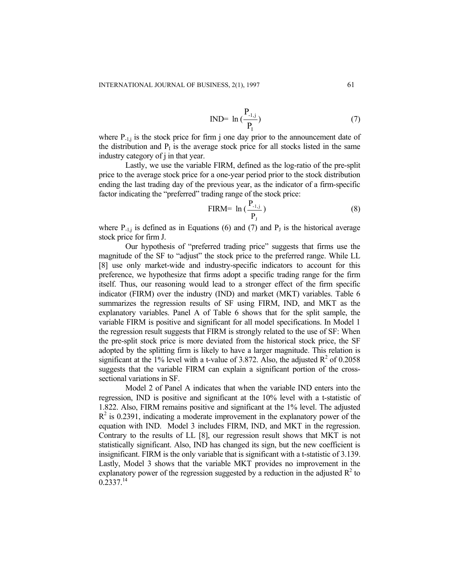$$
IND= \ln\left(\frac{P_{.1,j}}{P_{I}}\right) \tag{7}
$$

where  $P_{-1,j}$  is the stock price for firm j one day prior to the announcement date of the distribution and  $P<sub>I</sub>$  is the average stock price for all stocks listed in the same industry category of j in that year.

Lastly, we use the variable FIRM, defined as the log-ratio of the pre-split price to the average stock price for a one-year period prior to the stock distribution ending the last trading day of the previous year, as the indicator of a firm-specific factor indicating the "preferred" trading range of the stock price:

$$
\text{FIRM} = \ln\left(\frac{P_{.1,j}}{P_J}\right) \tag{8}
$$

where  $P_{-1,j}$  is defined as in Equations (6) and (7) and  $P_J$  is the historical average stock price for firm J.

Our hypothesis of "preferred trading price" suggests that firms use the magnitude of the SF to "adjust" the stock price to the preferred range. While LL [8] use only market-wide and industry-specific indicators to account for this preference, we hypothesize that firms adopt a specific trading range for the firm itself. Thus, our reasoning would lead to a stronger effect of the firm specific indicator (FIRM) over the industry (IND) and market (MKT) variables. Table 6 summarizes the regression results of SF using FIRM, IND, and MKT as the explanatory variables. Panel A of Table 6 shows that for the split sample, the variable FIRM is positive and significant for all model specifications. In Model 1 the regression result suggests that FIRM is strongly related to the use of SF: When the pre-split stock price is more deviated from the historical stock price, the SF adopted by the splitting firm is likely to have a larger magnitude. This relation is significant at the 1% level with a t-value of 3.872. Also, the adjusted  $R^2$  of 0.2058 suggests that the variable FIRM can explain a significant portion of the crosssectional variations in SF.

Model 2 of Panel A indicates that when the variable IND enters into the regression, IND is positive and significant at the 10% level with a t-statistic of 1.822. Also, FIRM remains positive and significant at the 1% level. The adjusted  $R<sup>2</sup>$  is 0.2391, indicating a moderate improvement in the explanatory power of the equation with IND. Model 3 includes FIRM, IND, and MKT in the regression. Contrary to the results of LL [8], our regression result shows that MKT is not statistically significant. Also, IND has changed its sign, but the new coefficient is insignificant. FIRM is the only variable that is significant with a t-statistic of 3.139. Lastly, Model 3 shows that the variable MKT provides no improvement in the explanatory power of the regression suggested by a reduction in the adjusted  $R^2$  to  $0.2337.<sup>14</sup>$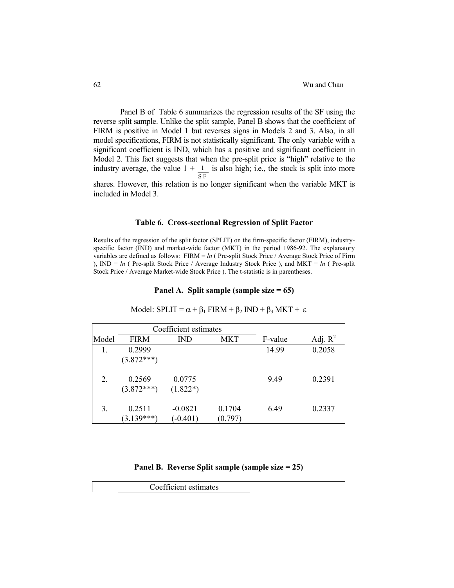Panel B of Table 6 summarizes the regression results of the SF using the reverse split sample. Unlike the split sample, Panel B shows that the coefficient of FIRM is positive in Model 1 but reverses signs in Models 2 and 3. Also, in all model specifications, FIRM is not statistically significant. The only variable with a significant coefficient is IND, which has a positive and significant coefficient in Model 2. This fact suggests that when the pre-split price is "high" relative to the industry average, the value  $1 + 1$ S F is also high; i.e., the stock is split into more shares. However, this relation is no longer significant when the variable MKT is included in Model 3.

#### **Table 6. Cross-sectional Regression of Split Factor**

Results of the regression of the split factor (SPLIT) on the firm-specific factor (FIRM), industryspecific factor (IND) and market-wide factor (MKT) in the period 1986-92. The explanatory variables are defined as follows: FIRM = *ln* ( Pre-split Stock Price / Average Stock Price of Firm ), IND = *ln* ( Pre-split Stock Price / Average Industry Stock Price ), and MKT = *ln* ( Pre-split Stock Price / Average Market-wide Stock Price ). The t-statistic is in parentheses.

#### **Panel A. Split sample (sample size = 65)**

|       | Coefficient estimates  |                         |                   |         |            |
|-------|------------------------|-------------------------|-------------------|---------|------------|
| Model | <b>FIRM</b>            | <b>IND</b>              | <b>MKT</b>        | F-value | Adj. $R^2$ |
|       | 0.2999                 |                         |                   | 14.99   | 0.2058     |
|       | $(3.872***)$           |                         |                   |         |            |
| 2.    | 0.2569<br>$(3.872***)$ | 0.0775<br>$(1.822*)$    |                   | 9.49    | 0.2391     |
| 3.    | 0.2511<br>$(3.139***)$ | $-0.0821$<br>$(-0.401)$ | 0.1704<br>(0.797) | 6.49    | 0.2337     |

Model:  $SPLIT = \alpha + \beta_1 FIRM + \beta_2 IND + \beta_3 MKT + \varepsilon$ 

# **Panel B. Reverse Split sample (sample size = 25)**

Coefficient estimates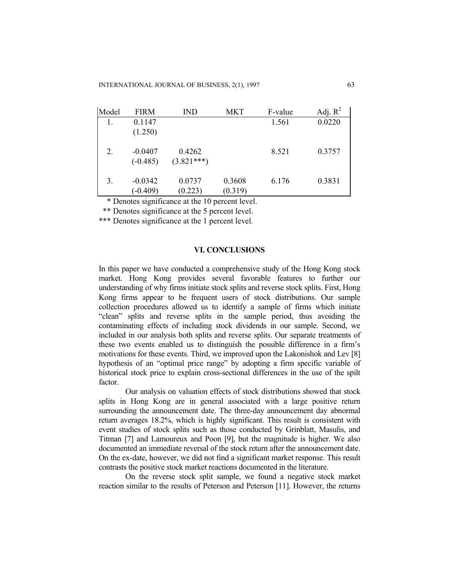| Model  | <b>FIRM</b> | <b>IND</b>   | <b>MKT</b> | F-value | Adj. $R^2$ |
|--------|-------------|--------------|------------|---------|------------|
| 1.     | 0.1147      |              |            | 1.561   | 0.0220     |
|        | (1.250)     |              |            |         |            |
|        |             |              |            |         |            |
| 2.     | $-0.0407$   | 0.4262       |            | 8.521   | 0.3757     |
|        | $(-0.485)$  | $(3.821***)$ |            |         |            |
|        |             |              |            |         |            |
| 3.     | $-0.0342$   | 0.0737       | 0.3608     | 6.176   | 0.3831     |
|        | $(-0.409)$  | (0.223)      | (0.319)    |         |            |
| $\sim$ | $\cdot$     | .            |            |         |            |

\* Denotes significance at the 10 percent level.

\*\* Denotes significance at the 5 percent level.

\*\*\* Denotes significance at the 1 percent level.

# **VI. CONCLUSIONS**

In this paper we have conducted a comprehensive study of the Hong Kong stock market. Hong Kong provides several favorable features to further our understanding of why firms initiate stock splits and reverse stock splits. First, Hong Kong firms appear to be frequent users of stock distributions. Our sample collection procedures allowed us to identify a sample of firms which initiate "clean" splits and reverse splits in the sample period, thus avoiding the contaminating effects of including stock dividends in our sample. Second, we included in our analysis both splits and reverse splits. Our separate treatments of these two events enabled us to distinguish the possible difference in a firm's motivations for these events. Third, we improved upon the Lakonishok and Lev [8] hypothesis of an "optimal price range" by adopting a firm specific variable of historical stock price to explain cross-sectional differences in the use of the spilt factor.

 Our analysis on valuation effects of stock distributions showed that stock splits in Hong Kong are in general associated with a large positive return surrounding the announcement date. The three-day announcement day abnormal return averages 18.2%, which is highly significant. This result is consistent with event studies of stock splits such as those conducted by Grinblatt, Masulis, and Titman [7] and Lamoureux and Poon [9], but the magnitude is higher. We also documented an immediate reversal of the stock return after the announcement date. On the ex-date, however, we did not find a significant market response. This result contrasts the positive stock market reactions documented in the literature.

 On the reverse stock split sample, we found a negative stock market reaction similar to the results of Peterson and Peterson [11]. However, the returns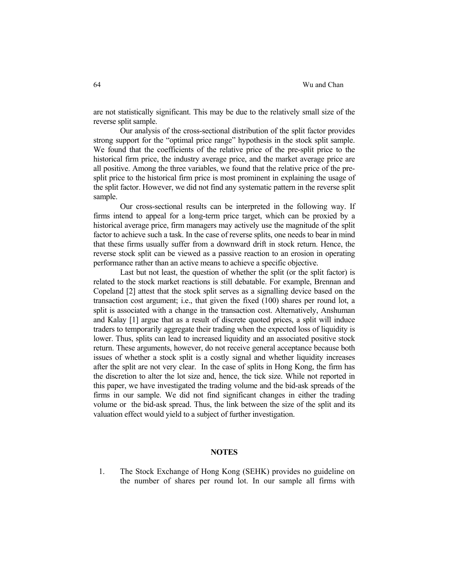are not statistically significant. This may be due to the relatively small size of the reverse split sample.

 Our analysis of the cross-sectional distribution of the split factor provides strong support for the "optimal price range" hypothesis in the stock split sample. We found that the coefficients of the relative price of the pre-split price to the historical firm price, the industry average price, and the market average price are all positive. Among the three variables, we found that the relative price of the presplit price to the historical firm price is most prominent in explaining the usage of the split factor. However, we did not find any systematic pattern in the reverse split sample.

 Our cross-sectional results can be interpreted in the following way. If firms intend to appeal for a long-term price target, which can be proxied by a historical average price, firm managers may actively use the magnitude of the split factor to achieve such a task. In the case of reverse splits, one needs to bear in mind that these firms usually suffer from a downward drift in stock return. Hence, the reverse stock split can be viewed as a passive reaction to an erosion in operating performance rather than an active means to achieve a specific objective.

 Last but not least, the question of whether the split (or the split factor) is related to the stock market reactions is still debatable. For example, Brennan and Copeland [2] attest that the stock split serves as a signalling device based on the transaction cost argument; i.e., that given the fixed (100) shares per round lot, a split is associated with a change in the transaction cost. Alternatively, Anshuman and Kalay [1] argue that as a result of discrete quoted prices, a split will induce traders to temporarily aggregate their trading when the expected loss of liquidity is lower. Thus, splits can lead to increased liquidity and an associated positive stock return. These arguments, however, do not receive general acceptance because both issues of whether a stock split is a costly signal and whether liquidity increases after the split are not very clear. In the case of splits in Hong Kong, the firm has the discretion to alter the lot size and, hence, the tick size. While not reported in this paper, we have investigated the trading volume and the bid-ask spreads of the firms in our sample. We did not find significant changes in either the trading volume or the bid-ask spread. Thus, the link between the size of the split and its valuation effect would yield to a subject of further investigation.

# **NOTES**

1. The Stock Exchange of Hong Kong (SEHK) provides no guideline on the number of shares per round lot. In our sample all firms with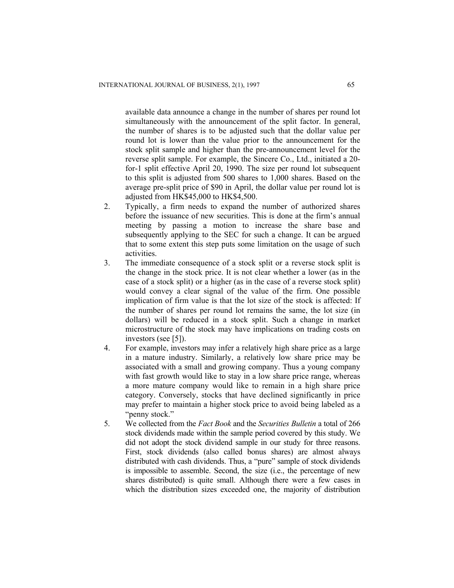available data announce a change in the number of shares per round lot simultaneously with the announcement of the split factor. In general, the number of shares is to be adjusted such that the dollar value per round lot is lower than the value prior to the announcement for the stock split sample and higher than the pre-announcement level for the reverse split sample. For example, the Sincere Co., Ltd., initiated a 20 for-1 split effective April 20, 1990. The size per round lot subsequent to this split is adjusted from 500 shares to 1,000 shares. Based on the average pre-split price of \$90 in April, the dollar value per round lot is adjusted from HK\$45,000 to HK\$4,500.

- 2. Typically, a firm needs to expand the number of authorized shares before the issuance of new securities. This is done at the firm's annual meeting by passing a motion to increase the share base and subsequently applying to the SEC for such a change. It can be argued that to some extent this step puts some limitation on the usage of such activities.
- 3. The immediate consequence of a stock split or a reverse stock split is the change in the stock price. It is not clear whether a lower (as in the case of a stock split) or a higher (as in the case of a reverse stock split) would convey a clear signal of the value of the firm. One possible implication of firm value is that the lot size of the stock is affected: If the number of shares per round lot remains the same, the lot size (in dollars) will be reduced in a stock split. Such a change in market microstructure of the stock may have implications on trading costs on investors (see [5]).
- 4. For example, investors may infer a relatively high share price as a large in a mature industry. Similarly, a relatively low share price may be associated with a small and growing company. Thus a young company with fast growth would like to stay in a low share price range, whereas a more mature company would like to remain in a high share price category. Conversely, stocks that have declined significantly in price may prefer to maintain a higher stock price to avoid being labeled as a "penny stock."
- 5. We collected from the *Fact Book* and the *Securities Bulletin* a total of 266 stock dividends made within the sample period covered by this study. We did not adopt the stock dividend sample in our study for three reasons. First, stock dividends (also called bonus shares) are almost always distributed with cash dividends. Thus, a "pure" sample of stock dividends is impossible to assemble. Second, the size (i.e., the percentage of new shares distributed) is quite small. Although there were a few cases in which the distribution sizes exceeded one, the majority of distribution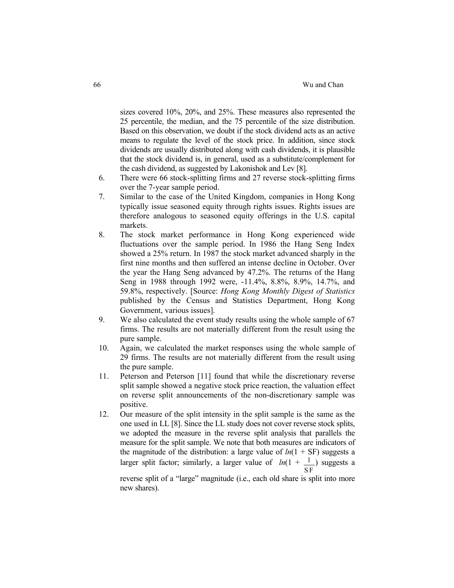sizes covered 10%, 20%, and 25%. These measures also represented the 25 percentile, the median, and the 75 percentile of the size distribution. Based on this observation, we doubt if the stock dividend acts as an active means to regulate the level of the stock price. In addition, since stock dividends are usually distributed along with cash dividends, it is plausible that the stock dividend is, in general, used as a substitute/complement for the cash dividend, as suggested by Lakonishok and Lev [8].

- 6. There were 66 stock-splitting firms and 27 reverse stock-splitting firms over the 7-year sample period.
- 7. Similar to the case of the United Kingdom, companies in Hong Kong typically issue seasoned equity through rights issues. Rights issues are therefore analogous to seasoned equity offerings in the U.S. capital markets.
- 8. The stock market performance in Hong Kong experienced wide fluctuations over the sample period. In 1986 the Hang Seng Index showed a 25% return. In 1987 the stock market advanced sharply in the first nine months and then suffered an intense decline in October. Over the year the Hang Seng advanced by 47.2%. The returns of the Hang Seng in 1988 through 1992 were, -11.4%, 8.8%, 8.9%, 14.7%, and 59.8%, respectively. [Source: *Hong Kong Monthly Digest of Statistics* published by the Census and Statistics Department, Hong Kong Government, various issues].
- 9. We also calculated the event study results using the whole sample of 67 firms. The results are not materially different from the result using the pure sample.
- 10. Again, we calculated the market responses using the whole sample of 29 firms. The results are not materially different from the result using the pure sample.
- 11. Peterson and Peterson [11] found that while the discretionary reverse split sample showed a negative stock price reaction, the valuation effect on reverse split announcements of the non-discretionary sample was positive.
- 12. Our measure of the split intensity in the split sample is the same as the one used in LL [8]. Since the LL study does not cover reverse stock splits, we adopted the measure in the reverse split analysis that parallels the measure for the split sample. We note that both measures are indicators of the magnitude of the distribution: a large value of  $ln(1 + SF)$  suggests a larger split factor; similarly, a larger value of  $ln(1 + 1)$ S F ) suggests a

reverse split of a "large" magnitude (i.e., each old share is split into more new shares).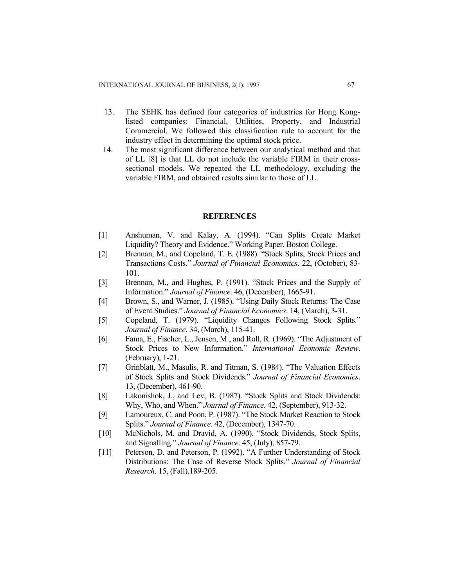- 13. The SEHK has defined four categories of industries for Hong Konglisted companies: Financial, Utilities, Property, and Industrial Commercial. We followed this classification rule to account for the industry effect in determining the optimal stock price.
- 14. The most significant difference between our analytical method and that of LL [8] is that LL do not include the variable FIRM in their crosssectional models. We repeated the LL methodology, excluding the variable FIRM, and obtained results similar to those of LL.

# **REFERENCES**

- [1] Anshuman, V. and Kalay, A. (1994). "Can Splits Create Market Liquidity? Theory and Evidence." Working Paper. Boston College.
- [2] Brennan, M., and Copeland, T. E. (1988). "Stock Splits, Stock Prices and Transactions Costs." *Journal of Financial Economics*. 22, (October), 83- 101.
- [3] Brennan, M., and Hughes, P. (1991). "Stock Prices and the Supply of Information." *Journal of Finance*. 46, (December), 1665-91.
- [4] Brown, S., and Warner, J. (1985). "Using Daily Stock Returns: The Case of Event Studies." *Journal of Financial Economics*. 14, (March), 3-31.
- [5] Copeland, T. (1979). "Liquidity Changes Following Stock Splits." *Journal of Finance*. 34, (March), 115-41.
- [6] Fama, E., Fischer, L., Jensen, M., and Roll, R. (1969). "The Adjustment of Stock Prices to New Information." *International Economic Review*. (February), 1-21.
- [7] Grinblatt, M., Masulis, R. and Titman, S. (1984). "The Valuation Effects of Stock Splits and Stock Dividends." *Journal of Financial Economics*. 13, (December), 461-90.
- [8] Lakonishok, J., and Lev, B. (1987). "Stock Splits and Stock Dividends: Why, Who, and When." *Journal of Finance*. 42, (September), 913-32.
- [9] Lamoureux, C. and Poon, P. (1987). "The Stock Market Reaction to Stock Splits." *Journal of Finance*. 42, (December), 1347-70.
- [10] McNichols, M. and Dravid, A. (1990). "Stock Dividends, Stock Splits, and Signalling." *Journal of Finance*. 45, (July), 857-79.
- [11] Peterson, D. and Peterson, P. (1992). "A Further Understanding of Stock Distributions: The Case of Reverse Stock Splits." *Journal of Financial Research*. 15, (Fall),189-205.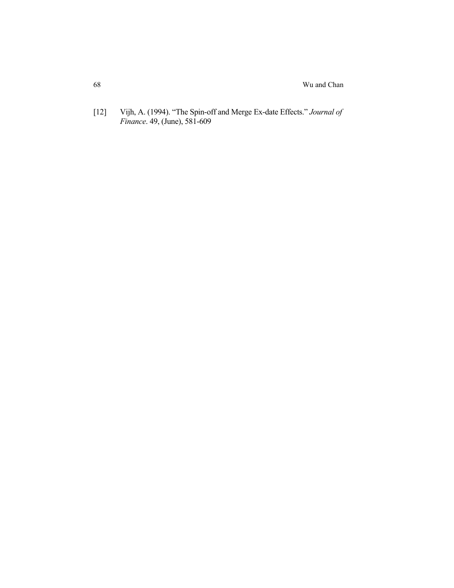[12] Vijh, A. (1994). "The Spin-off and Merge Ex-date Effects." *Journal of Finance*. 49, (June), 581-609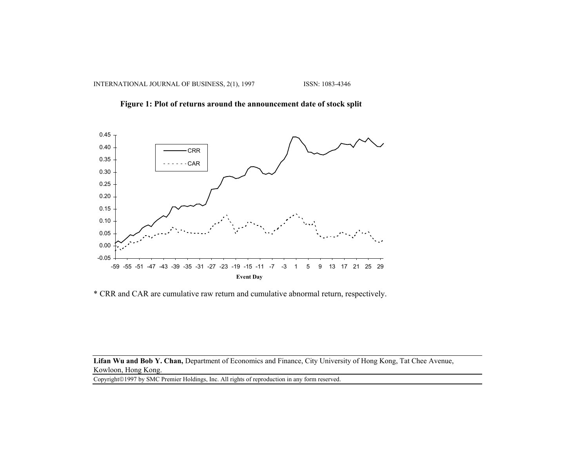



\* CRR and CAR are cumulative raw return and cumulative abnormal return, respectively.

Lifan Wu and Bob Y. Chan, Department of Economics and Finance, City University of Hong Kong, Tat Chee Avenue, Kowloon, Hong Kong.

Copyright©1997 by SMC Premier Holdings, Inc. All rights of reproduction in any form reserved.